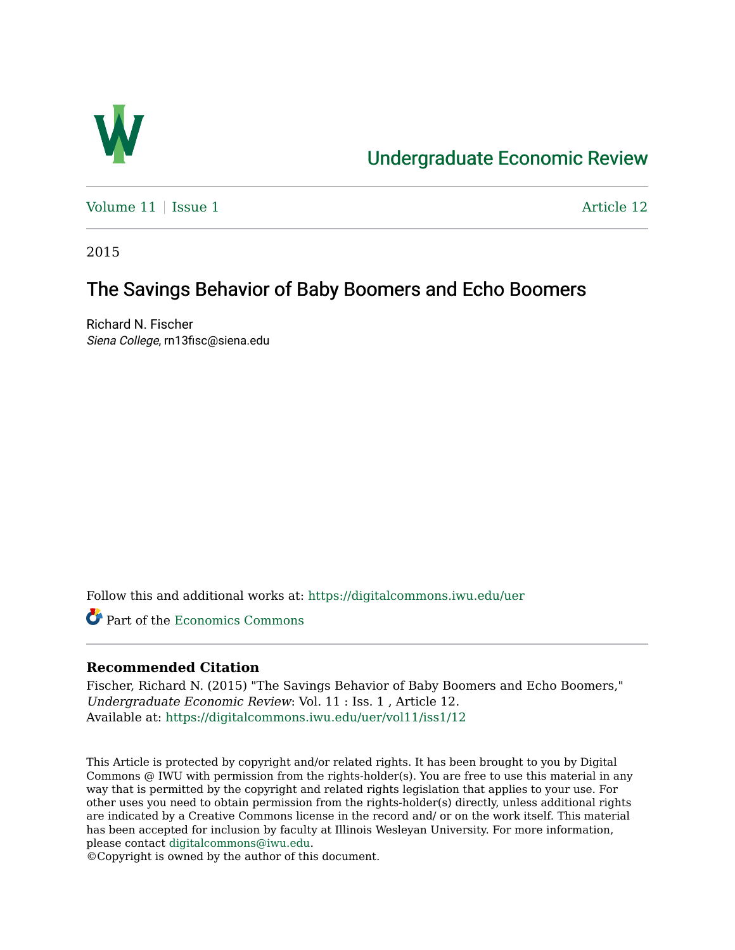

# [Undergraduate Economic Review](https://digitalcommons.iwu.edu/uer)

Volume  $11$  [Issue 1](https://digitalcommons.iwu.edu/uer/vol11/iss1)  $\overline{\phantom{a}}$  Article 12

2015

# The Savings Behavior of Baby Boomers and Echo Boomers

Richard N. Fischer Siena College, rn13fisc@siena.edu

Follow this and additional works at: [https://digitalcommons.iwu.edu/uer](https://digitalcommons.iwu.edu/uer?utm_source=digitalcommons.iwu.edu%2Fuer%2Fvol11%2Fiss1%2F12&utm_medium=PDF&utm_campaign=PDFCoverPages)

Part of the [Economics Commons](http://network.bepress.com/hgg/discipline/340?utm_source=digitalcommons.iwu.edu%2Fuer%2Fvol11%2Fiss1%2F12&utm_medium=PDF&utm_campaign=PDFCoverPages) 

### **Recommended Citation**

Fischer, Richard N. (2015) "The Savings Behavior of Baby Boomers and Echo Boomers," Undergraduate Economic Review: Vol. 11 : Iss. 1 , Article 12. Available at: [https://digitalcommons.iwu.edu/uer/vol11/iss1/12](https://digitalcommons.iwu.edu/uer/vol11/iss1/12?utm_source=digitalcommons.iwu.edu%2Fuer%2Fvol11%2Fiss1%2F12&utm_medium=PDF&utm_campaign=PDFCoverPages) 

This Article is protected by copyright and/or related rights. It has been brought to you by Digital Commons @ IWU with permission from the rights-holder(s). You are free to use this material in any way that is permitted by the copyright and related rights legislation that applies to your use. For other uses you need to obtain permission from the rights-holder(s) directly, unless additional rights are indicated by a Creative Commons license in the record and/ or on the work itself. This material has been accepted for inclusion by faculty at Illinois Wesleyan University. For more information, please contact [digitalcommons@iwu.edu.](mailto:digitalcommons@iwu.edu)

©Copyright is owned by the author of this document.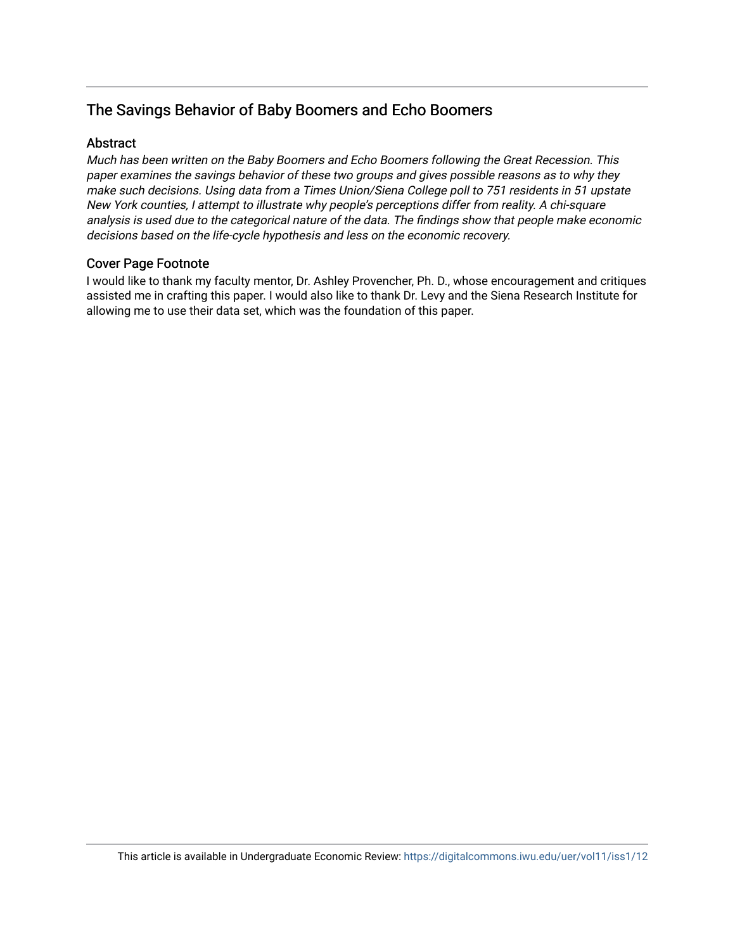## The Savings Behavior of Baby Boomers and Echo Boomers

## **Abstract**

Much has been written on the Baby Boomers and Echo Boomers following the Great Recession. This paper examines the savings behavior of these two groups and gives possible reasons as to why they make such decisions. Using data from a Times Union/Siena College poll to 751 residents in 51 upstate New York counties, I attempt to illustrate why people's perceptions differ from reality. A chi-square analysis is used due to the categorical nature of the data. The findings show that people make economic decisions based on the life-cycle hypothesis and less on the economic recovery.

### Cover Page Footnote

I would like to thank my faculty mentor, Dr. Ashley Provencher, Ph. D., whose encouragement and critiques assisted me in crafting this paper. I would also like to thank Dr. Levy and the Siena Research Institute for allowing me to use their data set, which was the foundation of this paper.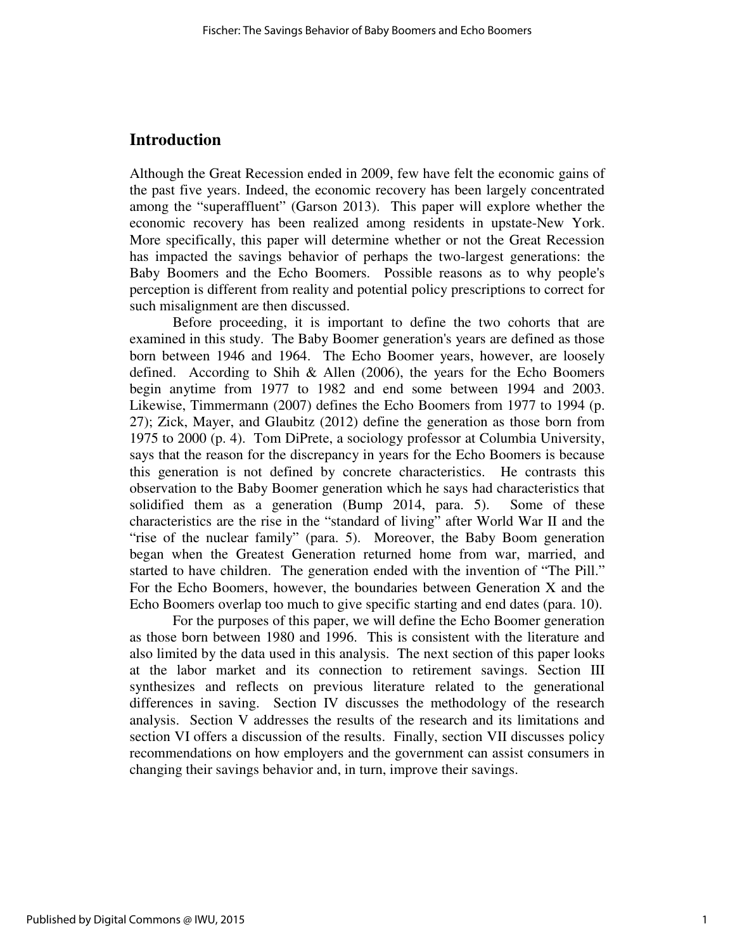## **Introduction**

Although the Great Recession ended in 2009, few have felt the economic gains of the past five years. Indeed, the economic recovery has been largely concentrated among the "superaffluent" (Garson 2013). This paper will explore whether the economic recovery has been realized among residents in upstate-New York. More specifically, this paper will determine whether or not the Great Recession has impacted the savings behavior of perhaps the two-largest generations: the Baby Boomers and the Echo Boomers. Possible reasons as to why people's perception is different from reality and potential policy prescriptions to correct for such misalignment are then discussed.

 Before proceeding, it is important to define the two cohorts that are examined in this study. The Baby Boomer generation's years are defined as those born between 1946 and 1964. The Echo Boomer years, however, are loosely defined. According to Shih & Allen (2006), the years for the Echo Boomers begin anytime from 1977 to 1982 and end some between 1994 and 2003. Likewise, Timmermann (2007) defines the Echo Boomers from 1977 to 1994 (p. 27); Zick, Mayer, and Glaubitz (2012) define the generation as those born from 1975 to 2000 (p. 4). Tom DiPrete, a sociology professor at Columbia University, says that the reason for the discrepancy in years for the Echo Boomers is because this generation is not defined by concrete characteristics. He contrasts this observation to the Baby Boomer generation which he says had characteristics that solidified them as a generation (Bump 2014, para. 5). Some of these characteristics are the rise in the "standard of living" after World War II and the "rise of the nuclear family" (para. 5). Moreover, the Baby Boom generation began when the Greatest Generation returned home from war, married, and started to have children. The generation ended with the invention of "The Pill." For the Echo Boomers, however, the boundaries between Generation X and the Echo Boomers overlap too much to give specific starting and end dates (para. 10).

 For the purposes of this paper, we will define the Echo Boomer generation as those born between 1980 and 1996. This is consistent with the literature and also limited by the data used in this analysis. The next section of this paper looks at the labor market and its connection to retirement savings. Section III synthesizes and reflects on previous literature related to the generational differences in saving. Section IV discusses the methodology of the research analysis. Section V addresses the results of the research and its limitations and section VI offers a discussion of the results. Finally, section VII discusses policy recommendations on how employers and the government can assist consumers in changing their savings behavior and, in turn, improve their savings.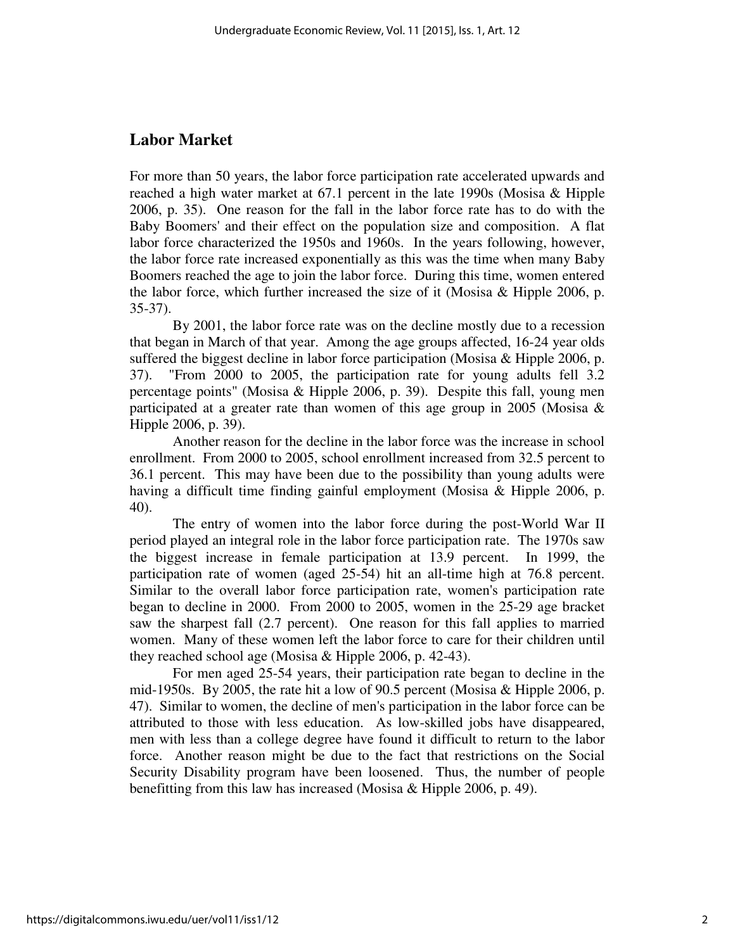## **Labor Market**

For more than 50 years, the labor force participation rate accelerated upwards and reached a high water market at 67.1 percent in the late 1990s (Mosisa & Hipple 2006, p. 35). One reason for the fall in the labor force rate has to do with the Baby Boomers' and their effect on the population size and composition. A flat labor force characterized the 1950s and 1960s. In the years following, however, the labor force rate increased exponentially as this was the time when many Baby Boomers reached the age to join the labor force. During this time, women entered the labor force, which further increased the size of it (Mosisa & Hipple 2006, p. 35-37).

 By 2001, the labor force rate was on the decline mostly due to a recession that began in March of that year. Among the age groups affected, 16-24 year olds suffered the biggest decline in labor force participation (Mosisa  $&$  Hipple 2006, p. 37). "From 2000 to 2005, the participation rate for young adults fell 3.2 percentage points" (Mosisa & Hipple 2006, p. 39). Despite this fall, young men participated at a greater rate than women of this age group in 2005 (Mosisa  $\&$ Hipple 2006, p. 39).

 Another reason for the decline in the labor force was the increase in school enrollment. From 2000 to 2005, school enrollment increased from 32.5 percent to 36.1 percent. This may have been due to the possibility than young adults were having a difficult time finding gainful employment (Mosisa & Hipple 2006, p. 40).

 The entry of women into the labor force during the post-World War II period played an integral role in the labor force participation rate. The 1970s saw the biggest increase in female participation at 13.9 percent. In 1999, the participation rate of women (aged 25-54) hit an all-time high at 76.8 percent. Similar to the overall labor force participation rate, women's participation rate began to decline in 2000. From 2000 to 2005, women in the 25-29 age bracket saw the sharpest fall (2.7 percent). One reason for this fall applies to married women. Many of these women left the labor force to care for their children until they reached school age (Mosisa & Hipple 2006, p. 42-43).

 For men aged 25-54 years, their participation rate began to decline in the mid-1950s. By 2005, the rate hit a low of 90.5 percent (Mosisa & Hipple 2006, p. 47). Similar to women, the decline of men's participation in the labor force can be attributed to those with less education. As low-skilled jobs have disappeared, men with less than a college degree have found it difficult to return to the labor force. Another reason might be due to the fact that restrictions on the Social Security Disability program have been loosened. Thus, the number of people benefitting from this law has increased (Mosisa & Hipple 2006, p. 49).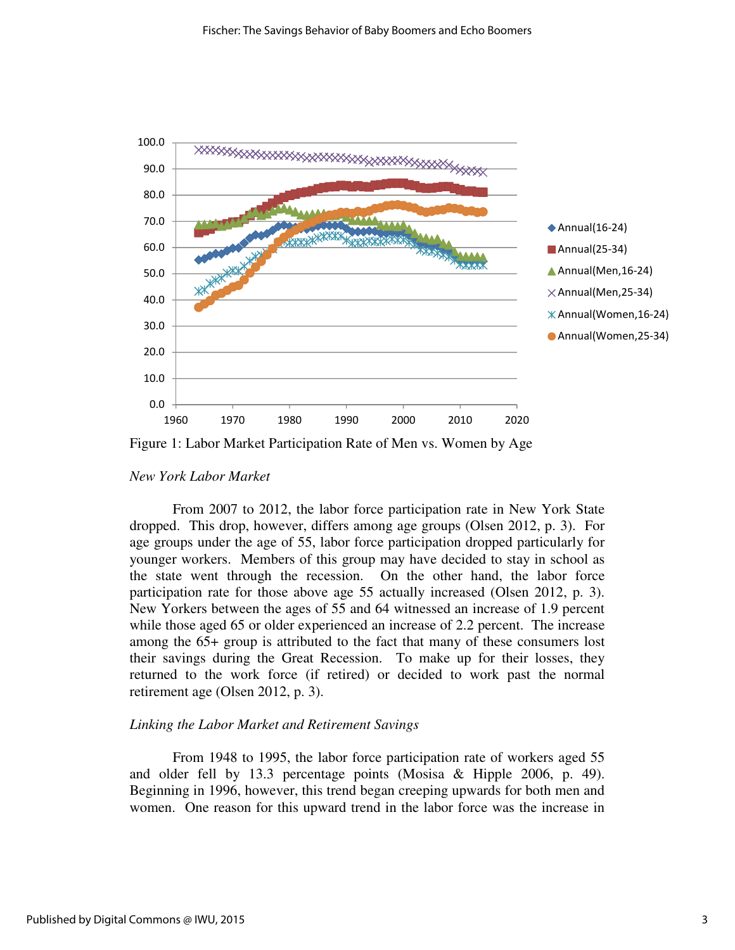

Figure 1: Labor Market Participation Rate of Men vs. Women by Age

#### *New York Labor Market*

 From 2007 to 2012, the labor force participation rate in New York State dropped. This drop, however, differs among age groups (Olsen 2012, p. 3). For age groups under the age of 55, labor force participation dropped particularly for younger workers. Members of this group may have decided to stay in school as the state went through the recession. On the other hand, the labor force participation rate for those above age 55 actually increased (Olsen 2012, p. 3). New Yorkers between the ages of 55 and 64 witnessed an increase of 1.9 percent while those aged 65 or older experienced an increase of 2.2 percent. The increase among the 65+ group is attributed to the fact that many of these consumers lost their savings during the Great Recession. To make up for their losses, they returned to the work force (if retired) or decided to work past the normal retirement age (Olsen 2012, p. 3).

### *Linking the Labor Market and Retirement Savings*

 From 1948 to 1995, the labor force participation rate of workers aged 55 and older fell by 13.3 percentage points (Mosisa & Hipple 2006, p. 49). Beginning in 1996, however, this trend began creeping upwards for both men and women. One reason for this upward trend in the labor force was the increase in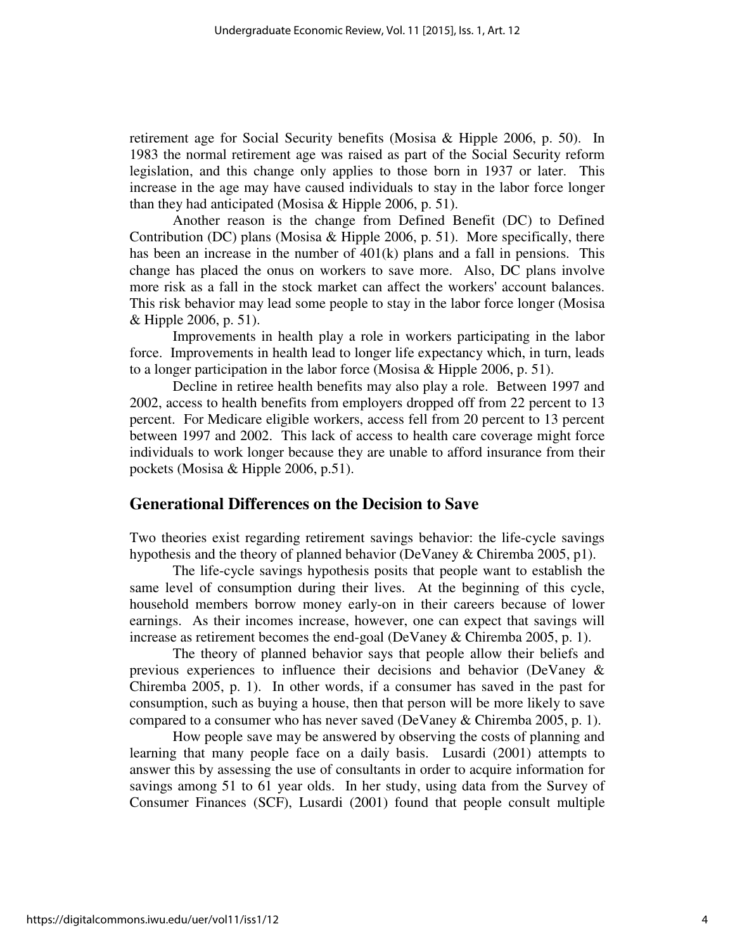retirement age for Social Security benefits (Mosisa & Hipple 2006, p. 50). In 1983 the normal retirement age was raised as part of the Social Security reform legislation, and this change only applies to those born in 1937 or later. This increase in the age may have caused individuals to stay in the labor force longer than they had anticipated (Mosisa & Hipple 2006, p. 51).

 Another reason is the change from Defined Benefit (DC) to Defined Contribution (DC) plans (Mosisa  $&$  Hipple 2006, p. 51). More specifically, there has been an increase in the number of 401(k) plans and a fall in pensions. This change has placed the onus on workers to save more. Also, DC plans involve more risk as a fall in the stock market can affect the workers' account balances. This risk behavior may lead some people to stay in the labor force longer (Mosisa & Hipple 2006, p. 51).

 Improvements in health play a role in workers participating in the labor force. Improvements in health lead to longer life expectancy which, in turn, leads to a longer participation in the labor force (Mosisa  $&$  Hipple 2006, p. 51).

 Decline in retiree health benefits may also play a role. Between 1997 and 2002, access to health benefits from employers dropped off from 22 percent to 13 percent. For Medicare eligible workers, access fell from 20 percent to 13 percent between 1997 and 2002. This lack of access to health care coverage might force individuals to work longer because they are unable to afford insurance from their pockets (Mosisa & Hipple 2006, p.51).

## **Generational Differences on the Decision to Save**

Two theories exist regarding retirement savings behavior: the life-cycle savings hypothesis and the theory of planned behavior (DeVaney & Chiremba 2005, p1).

 The life-cycle savings hypothesis posits that people want to establish the same level of consumption during their lives. At the beginning of this cycle, household members borrow money early-on in their careers because of lower earnings. As their incomes increase, however, one can expect that savings will increase as retirement becomes the end-goal (DeVaney & Chiremba 2005, p. 1).

 The theory of planned behavior says that people allow their beliefs and previous experiences to influence their decisions and behavior (DeVaney & Chiremba 2005, p. 1). In other words, if a consumer has saved in the past for consumption, such as buying a house, then that person will be more likely to save compared to a consumer who has never saved (DeVaney & Chiremba 2005, p. 1).

 How people save may be answered by observing the costs of planning and learning that many people face on a daily basis. Lusardi (2001) attempts to answer this by assessing the use of consultants in order to acquire information for savings among 51 to 61 year olds. In her study, using data from the Survey of Consumer Finances (SCF), Lusardi (2001) found that people consult multiple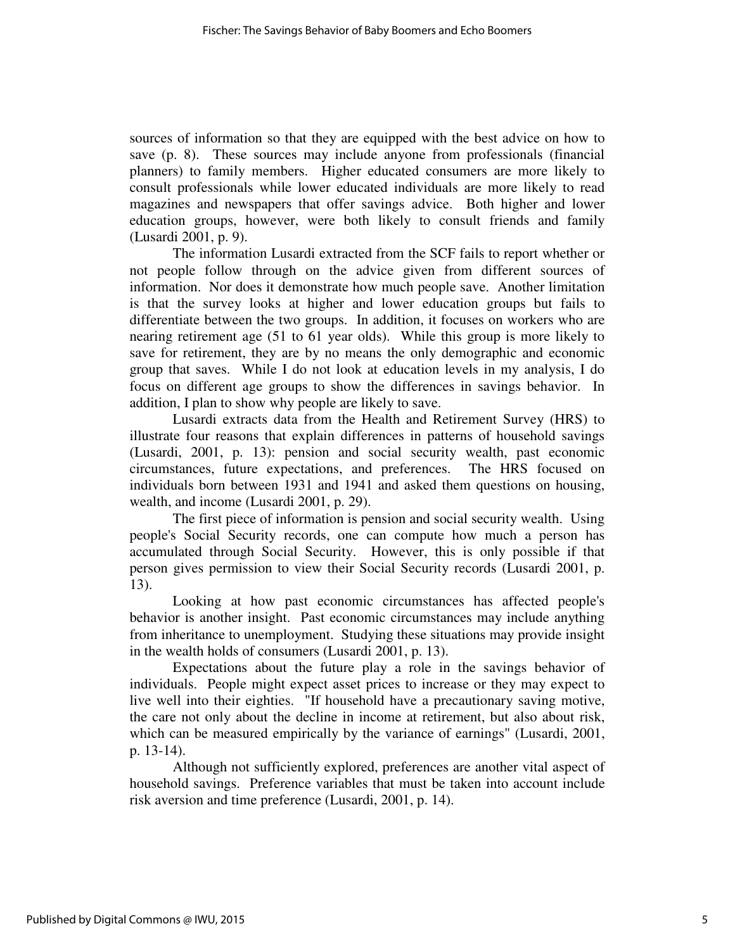sources of information so that they are equipped with the best advice on how to save (p. 8). These sources may include anyone from professionals (financial planners) to family members. Higher educated consumers are more likely to consult professionals while lower educated individuals are more likely to read magazines and newspapers that offer savings advice. Both higher and lower education groups, however, were both likely to consult friends and family (Lusardi 2001, p. 9).

 The information Lusardi extracted from the SCF fails to report whether or not people follow through on the advice given from different sources of information. Nor does it demonstrate how much people save. Another limitation is that the survey looks at higher and lower education groups but fails to differentiate between the two groups. In addition, it focuses on workers who are nearing retirement age (51 to 61 year olds). While this group is more likely to save for retirement, they are by no means the only demographic and economic group that saves. While I do not look at education levels in my analysis, I do focus on different age groups to show the differences in savings behavior. In addition, I plan to show why people are likely to save.

 Lusardi extracts data from the Health and Retirement Survey (HRS) to illustrate four reasons that explain differences in patterns of household savings (Lusardi, 2001, p. 13): pension and social security wealth, past economic circumstances, future expectations, and preferences. The HRS focused on individuals born between 1931 and 1941 and asked them questions on housing, wealth, and income (Lusardi 2001, p. 29).

 The first piece of information is pension and social security wealth. Using people's Social Security records, one can compute how much a person has accumulated through Social Security. However, this is only possible if that person gives permission to view their Social Security records (Lusardi 2001, p. 13).

 Looking at how past economic circumstances has affected people's behavior is another insight. Past economic circumstances may include anything from inheritance to unemployment. Studying these situations may provide insight in the wealth holds of consumers (Lusardi 2001, p. 13).

 Expectations about the future play a role in the savings behavior of individuals. People might expect asset prices to increase or they may expect to live well into their eighties. "If household have a precautionary saving motive, the care not only about the decline in income at retirement, but also about risk, which can be measured empirically by the variance of earnings" (Lusardi, 2001, p. 13-14).

 Although not sufficiently explored, preferences are another vital aspect of household savings. Preference variables that must be taken into account include risk aversion and time preference (Lusardi, 2001, p. 14).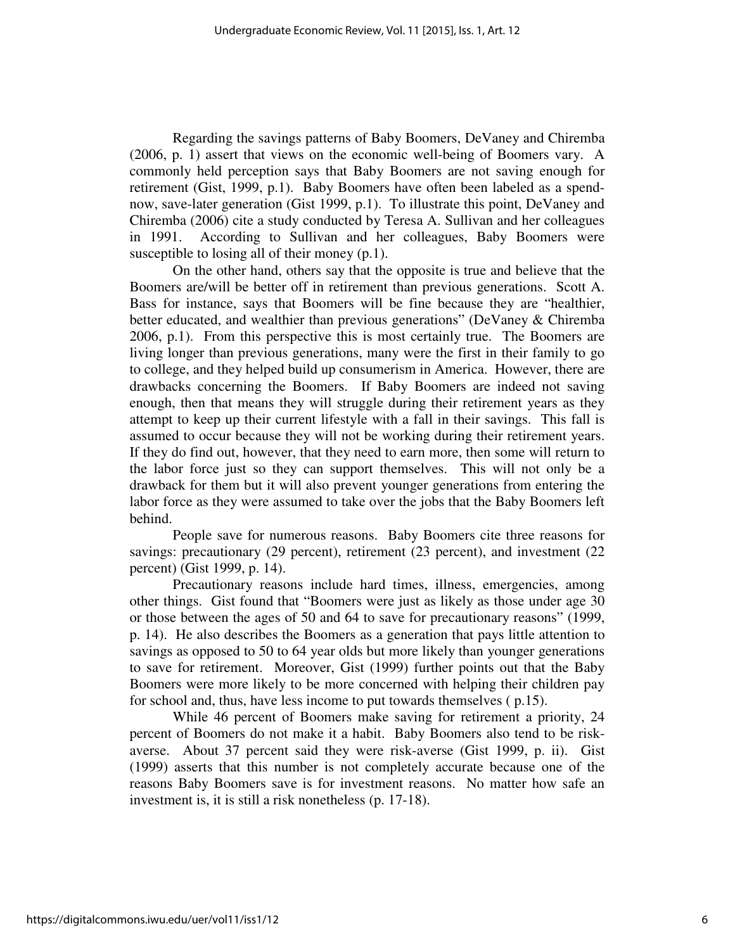Regarding the savings patterns of Baby Boomers, DeVaney and Chiremba (2006, p. 1) assert that views on the economic well-being of Boomers vary. A commonly held perception says that Baby Boomers are not saving enough for retirement (Gist, 1999, p.1). Baby Boomers have often been labeled as a spendnow, save-later generation (Gist 1999, p.1). To illustrate this point, DeVaney and Chiremba (2006) cite a study conducted by Teresa A. Sullivan and her colleagues in 1991. According to Sullivan and her colleagues, Baby Boomers were susceptible to losing all of their money (p.1).

 On the other hand, others say that the opposite is true and believe that the Boomers are/will be better off in retirement than previous generations. Scott A. Bass for instance, says that Boomers will be fine because they are "healthier, better educated, and wealthier than previous generations" (DeVaney & Chiremba 2006, p.1). From this perspective this is most certainly true. The Boomers are living longer than previous generations, many were the first in their family to go to college, and they helped build up consumerism in America. However, there are drawbacks concerning the Boomers. If Baby Boomers are indeed not saving enough, then that means they will struggle during their retirement years as they attempt to keep up their current lifestyle with a fall in their savings. This fall is assumed to occur because they will not be working during their retirement years. If they do find out, however, that they need to earn more, then some will return to the labor force just so they can support themselves. This will not only be a drawback for them but it will also prevent younger generations from entering the labor force as they were assumed to take over the jobs that the Baby Boomers left behind.

 People save for numerous reasons. Baby Boomers cite three reasons for savings: precautionary (29 percent), retirement (23 percent), and investment (22 percent) (Gist 1999, p. 14).

Precautionary reasons include hard times, illness, emergencies, among other things. Gist found that "Boomers were just as likely as those under age 30 or those between the ages of 50 and 64 to save for precautionary reasons" (1999, p. 14). He also describes the Boomers as a generation that pays little attention to savings as opposed to 50 to 64 year olds but more likely than younger generations to save for retirement. Moreover, Gist (1999) further points out that the Baby Boomers were more likely to be more concerned with helping their children pay for school and, thus, have less income to put towards themselves ( p.15).

While 46 percent of Boomers make saving for retirement a priority, 24 percent of Boomers do not make it a habit. Baby Boomers also tend to be riskaverse. About 37 percent said they were risk-averse (Gist 1999, p. ii). Gist (1999) asserts that this number is not completely accurate because one of the reasons Baby Boomers save is for investment reasons. No matter how safe an investment is, it is still a risk nonetheless (p. 17-18).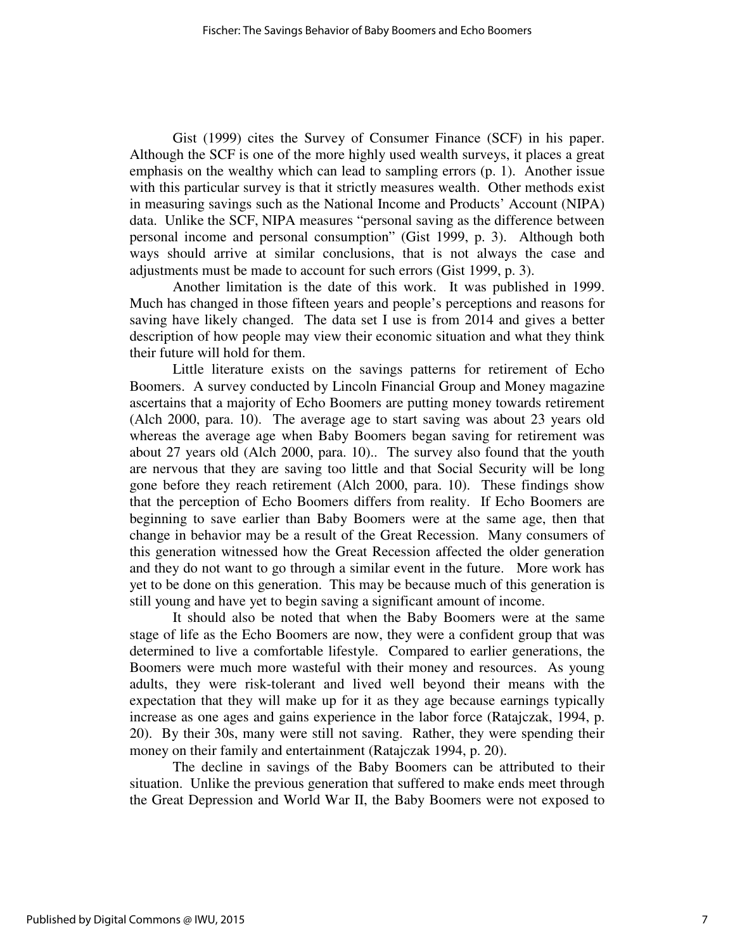Gist (1999) cites the Survey of Consumer Finance (SCF) in his paper. Although the SCF is one of the more highly used wealth surveys, it places a great emphasis on the wealthy which can lead to sampling errors (p. 1). Another issue with this particular survey is that it strictly measures wealth. Other methods exist in measuring savings such as the National Income and Products' Account (NIPA) data. Unlike the SCF, NIPA measures "personal saving as the difference between personal income and personal consumption" (Gist 1999, p. 3). Although both ways should arrive at similar conclusions, that is not always the case and adjustments must be made to account for such errors (Gist 1999, p. 3).

 Another limitation is the date of this work. It was published in 1999. Much has changed in those fifteen years and people's perceptions and reasons for saving have likely changed. The data set I use is from 2014 and gives a better description of how people may view their economic situation and what they think their future will hold for them.

 Little literature exists on the savings patterns for retirement of Echo Boomers. A survey conducted by Lincoln Financial Group and Money magazine ascertains that a majority of Echo Boomers are putting money towards retirement (Alch 2000, para. 10). The average age to start saving was about 23 years old whereas the average age when Baby Boomers began saving for retirement was about 27 years old (Alch 2000, para. 10).. The survey also found that the youth are nervous that they are saving too little and that Social Security will be long gone before they reach retirement (Alch 2000, para. 10). These findings show that the perception of Echo Boomers differs from reality. If Echo Boomers are beginning to save earlier than Baby Boomers were at the same age, then that change in behavior may be a result of the Great Recession. Many consumers of this generation witnessed how the Great Recession affected the older generation and they do not want to go through a similar event in the future. More work has yet to be done on this generation. This may be because much of this generation is still young and have yet to begin saving a significant amount of income.

 It should also be noted that when the Baby Boomers were at the same stage of life as the Echo Boomers are now, they were a confident group that was determined to live a comfortable lifestyle. Compared to earlier generations, the Boomers were much more wasteful with their money and resources. As young adults, they were risk-tolerant and lived well beyond their means with the expectation that they will make up for it as they age because earnings typically increase as one ages and gains experience in the labor force (Ratajczak, 1994, p. 20). By their 30s, many were still not saving. Rather, they were spending their money on their family and entertainment (Ratajczak 1994, p. 20).

 The decline in savings of the Baby Boomers can be attributed to their situation. Unlike the previous generation that suffered to make ends meet through the Great Depression and World War II, the Baby Boomers were not exposed to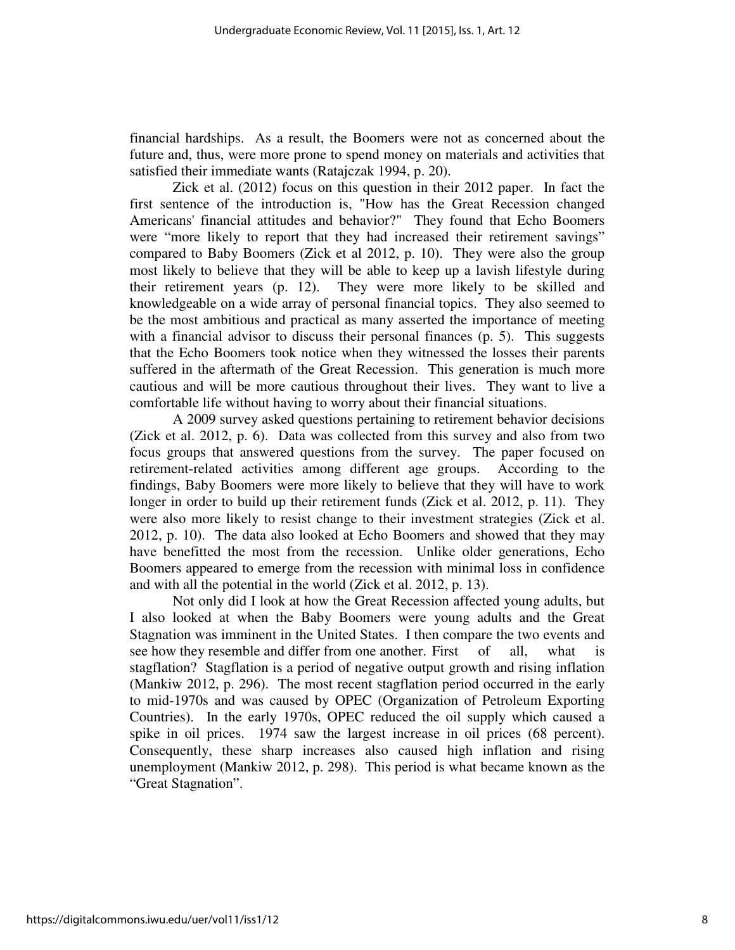financial hardships. As a result, the Boomers were not as concerned about the future and, thus, were more prone to spend money on materials and activities that satisfied their immediate wants (Ratajczak 1994, p. 20).

 Zick et al. (2012) focus on this question in their 2012 paper. In fact the first sentence of the introduction is, "How has the Great Recession changed Americans' financial attitudes and behavior?" They found that Echo Boomers were "more likely to report that they had increased their retirement savings" compared to Baby Boomers (Zick et al 2012, p. 10). They were also the group most likely to believe that they will be able to keep up a lavish lifestyle during their retirement years (p. 12). They were more likely to be skilled and knowledgeable on a wide array of personal financial topics. They also seemed to be the most ambitious and practical as many asserted the importance of meeting with a financial advisor to discuss their personal finances (p. 5). This suggests that the Echo Boomers took notice when they witnessed the losses their parents suffered in the aftermath of the Great Recession. This generation is much more cautious and will be more cautious throughout their lives. They want to live a comfortable life without having to worry about their financial situations.

 A 2009 survey asked questions pertaining to retirement behavior decisions (Zick et al. 2012, p. 6). Data was collected from this survey and also from two focus groups that answered questions from the survey. The paper focused on retirement-related activities among different age groups. According to the findings, Baby Boomers were more likely to believe that they will have to work longer in order to build up their retirement funds (Zick et al. 2012, p. 11). They were also more likely to resist change to their investment strategies (Zick et al. 2012, p. 10). The data also looked at Echo Boomers and showed that they may have benefitted the most from the recession. Unlike older generations, Echo Boomers appeared to emerge from the recession with minimal loss in confidence and with all the potential in the world (Zick et al. 2012, p. 13).

 Not only did I look at how the Great Recession affected young adults, but I also looked at when the Baby Boomers were young adults and the Great Stagnation was imminent in the United States. I then compare the two events and see how they resemble and differ from one another. First of all, what is stagflation? Stagflation is a period of negative output growth and rising inflation (Mankiw 2012, p. 296). The most recent stagflation period occurred in the early to mid-1970s and was caused by OPEC (Organization of Petroleum Exporting Countries). In the early 1970s, OPEC reduced the oil supply which caused a spike in oil prices. 1974 saw the largest increase in oil prices (68 percent). Consequently, these sharp increases also caused high inflation and rising unemployment (Mankiw 2012, p. 298). This period is what became known as the "Great Stagnation".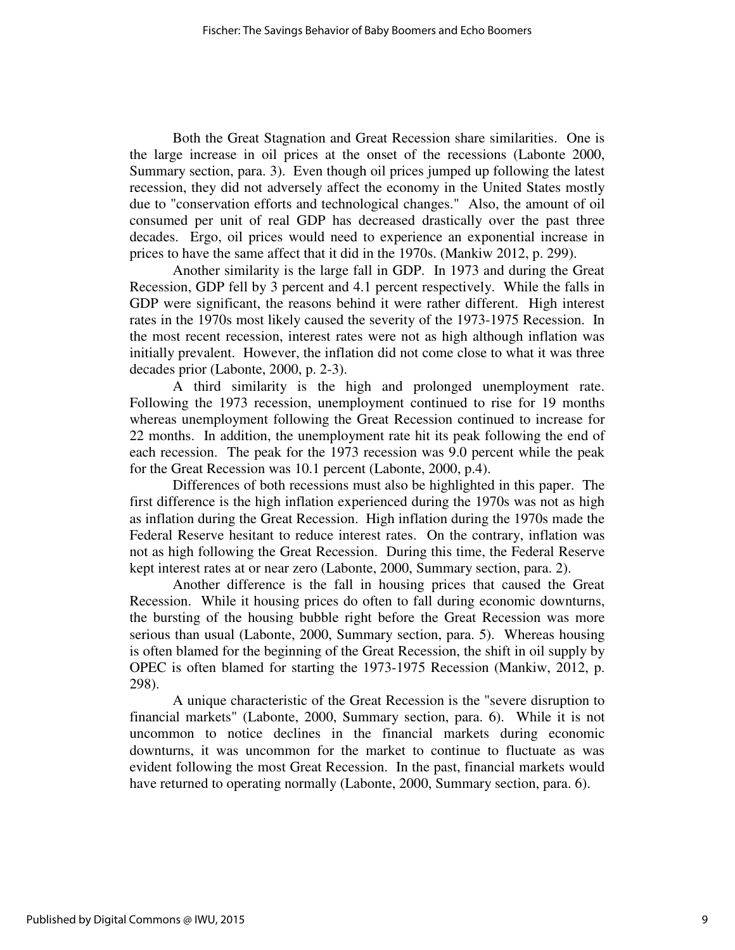Both the Great Stagnation and Great Recession share similarities. One is the large increase in oil prices at the onset of the recessions (Labonte 2000, Summary section, para. 3). Even though oil prices jumped up following the latest recession, they did not adversely affect the economy in the United States mostly due to "conservation efforts and technological changes." Also, the amount of oil consumed per unit of real GDP has decreased drastically over the past three decades. Ergo, oil prices would need to experience an exponential increase in prices to have the same affect that it did in the 1970s. (Mankiw 2012, p. 299).

 Another similarity is the large fall in GDP. In 1973 and during the Great Recession, GDP fell by 3 percent and 4.1 percent respectively. While the falls in GDP were significant, the reasons behind it were rather different. High interest rates in the 1970s most likely caused the severity of the 1973-1975 Recession. In the most recent recession, interest rates were not as high although inflation was initially prevalent. However, the inflation did not come close to what it was three decades prior (Labonte, 2000, p. 2-3).

 A third similarity is the high and prolonged unemployment rate. Following the 1973 recession, unemployment continued to rise for 19 months whereas unemployment following the Great Recession continued to increase for 22 months. In addition, the unemployment rate hit its peak following the end of each recession. The peak for the 1973 recession was 9.0 percent while the peak for the Great Recession was 10.1 percent (Labonte, 2000, p.4).

 Differences of both recessions must also be highlighted in this paper. The first difference is the high inflation experienced during the 1970s was not as high as inflation during the Great Recession. High inflation during the 1970s made the Federal Reserve hesitant to reduce interest rates. On the contrary, inflation was not as high following the Great Recession. During this time, the Federal Reserve kept interest rates at or near zero (Labonte, 2000, Summary section, para. 2).

 Another difference is the fall in housing prices that caused the Great Recession. While it housing prices do often to fall during economic downturns, the bursting of the housing bubble right before the Great Recession was more serious than usual (Labonte, 2000, Summary section, para. 5). Whereas housing is often blamed for the beginning of the Great Recession, the shift in oil supply by OPEC is often blamed for starting the 1973-1975 Recession (Mankiw, 2012, p. 298).

 A unique characteristic of the Great Recession is the "severe disruption to financial markets" (Labonte, 2000, Summary section, para. 6). While it is not uncommon to notice declines in the financial markets during economic downturns, it was uncommon for the market to continue to fluctuate as was evident following the most Great Recession. In the past, financial markets would have returned to operating normally (Labonte, 2000, Summary section, para. 6).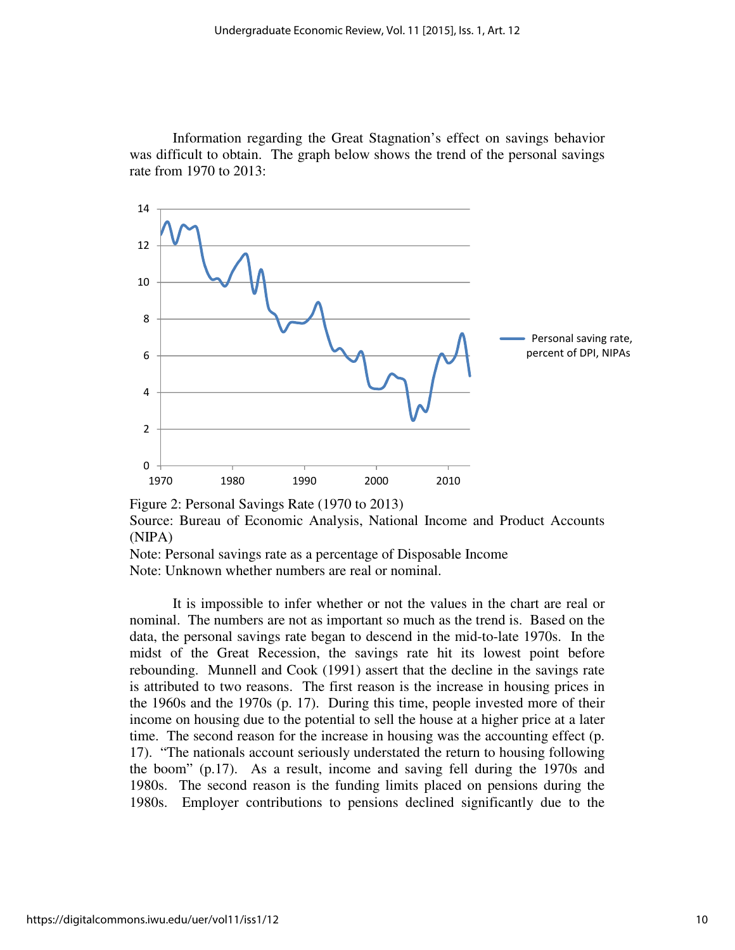Information regarding the Great Stagnation's effect on savings behavior was difficult to obtain. The graph below shows the trend of the personal savings rate from 1970 to 2013:



Figure 2: Personal Savings Rate (1970 to 2013)

Source: Bureau of Economic Analysis, National Income and Product Accounts (NIPA)

Note: Personal savings rate as a percentage of Disposable Income Note: Unknown whether numbers are real or nominal.

 It is impossible to infer whether or not the values in the chart are real or nominal. The numbers are not as important so much as the trend is. Based on the data, the personal savings rate began to descend in the mid-to-late 1970s. In the midst of the Great Recession, the savings rate hit its lowest point before rebounding. Munnell and Cook (1991) assert that the decline in the savings rate is attributed to two reasons. The first reason is the increase in housing prices in the 1960s and the 1970s (p. 17). During this time, people invested more of their income on housing due to the potential to sell the house at a higher price at a later time. The second reason for the increase in housing was the accounting effect (p. 17). "The nationals account seriously understated the return to housing following the boom" (p.17). As a result, income and saving fell during the 1970s and 1980s. The second reason is the funding limits placed on pensions during the 1980s. Employer contributions to pensions declined significantly due to the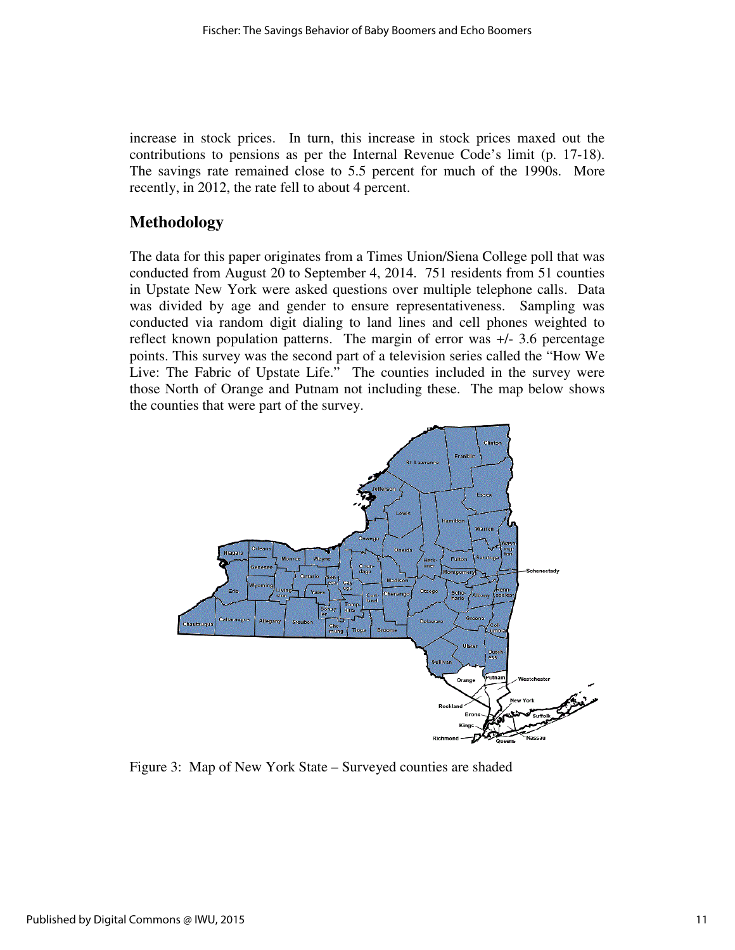increase in stock prices. In turn, this increase in stock prices maxed out the contributions to pensions as per the Internal Revenue Code's limit (p. 17-18). The savings rate remained close to 5.5 percent for much of the 1990s. More recently, in 2012, the rate fell to about 4 percent.

## **Methodology**

The data for this paper originates from a Times Union/Siena College poll that was conducted from August 20 to September 4, 2014. 751 residents from 51 counties in Upstate New York were asked questions over multiple telephone calls. Data was divided by age and gender to ensure representativeness. Sampling was conducted via random digit dialing to land lines and cell phones weighted to reflect known population patterns. The margin of error was +/- 3.6 percentage points. This survey was the second part of a television series called the "How We Live: The Fabric of Upstate Life." The counties included in the survey were those North of Orange and Putnam not including these. The map below shows the counties that were part of the survey.



Figure 3: Map of New York State – Surveyed counties are shaded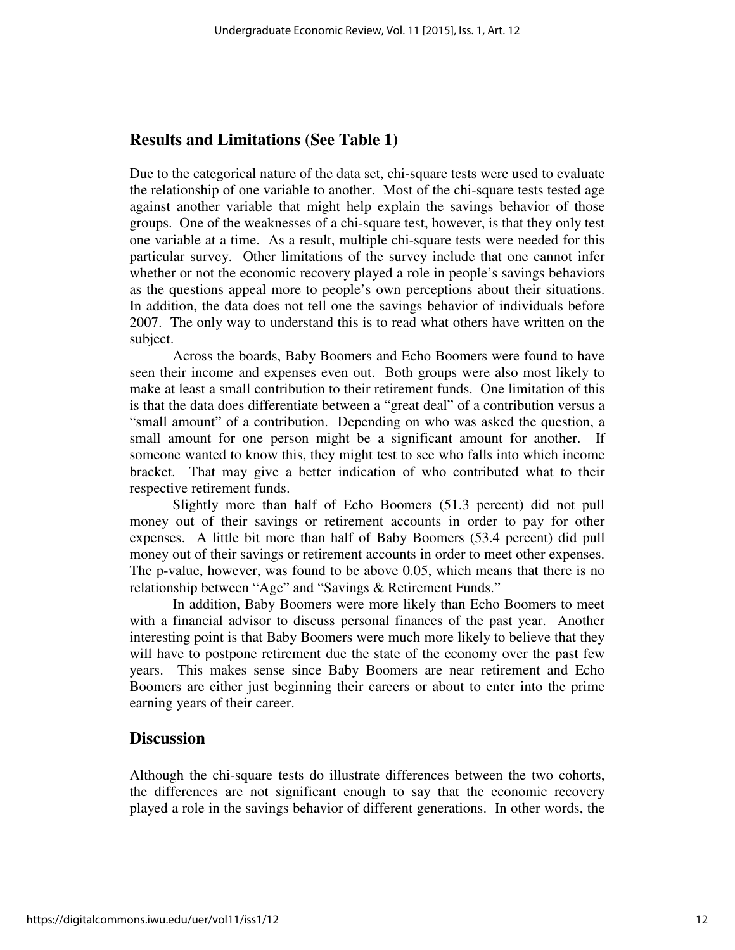## **Results and Limitations (See Table 1)**

Due to the categorical nature of the data set, chi-square tests were used to evaluate the relationship of one variable to another. Most of the chi-square tests tested age against another variable that might help explain the savings behavior of those groups. One of the weaknesses of a chi-square test, however, is that they only test one variable at a time. As a result, multiple chi-square tests were needed for this particular survey. Other limitations of the survey include that one cannot infer whether or not the economic recovery played a role in people's savings behaviors as the questions appeal more to people's own perceptions about their situations. In addition, the data does not tell one the savings behavior of individuals before 2007. The only way to understand this is to read what others have written on the subject.

 Across the boards, Baby Boomers and Echo Boomers were found to have seen their income and expenses even out. Both groups were also most likely to make at least a small contribution to their retirement funds. One limitation of this is that the data does differentiate between a "great deal" of a contribution versus a "small amount" of a contribution. Depending on who was asked the question, a small amount for one person might be a significant amount for another. If someone wanted to know this, they might test to see who falls into which income bracket. That may give a better indication of who contributed what to their respective retirement funds.

 Slightly more than half of Echo Boomers (51.3 percent) did not pull money out of their savings or retirement accounts in order to pay for other expenses. A little bit more than half of Baby Boomers (53.4 percent) did pull money out of their savings or retirement accounts in order to meet other expenses. The p-value, however, was found to be above 0.05, which means that there is no relationship between "Age" and "Savings & Retirement Funds."

 In addition, Baby Boomers were more likely than Echo Boomers to meet with a financial advisor to discuss personal finances of the past year. Another interesting point is that Baby Boomers were much more likely to believe that they will have to postpone retirement due the state of the economy over the past few years. This makes sense since Baby Boomers are near retirement and Echo Boomers are either just beginning their careers or about to enter into the prime earning years of their career.

### **Discussion**

Although the chi-square tests do illustrate differences between the two cohorts, the differences are not significant enough to say that the economic recovery played a role in the savings behavior of different generations. In other words, the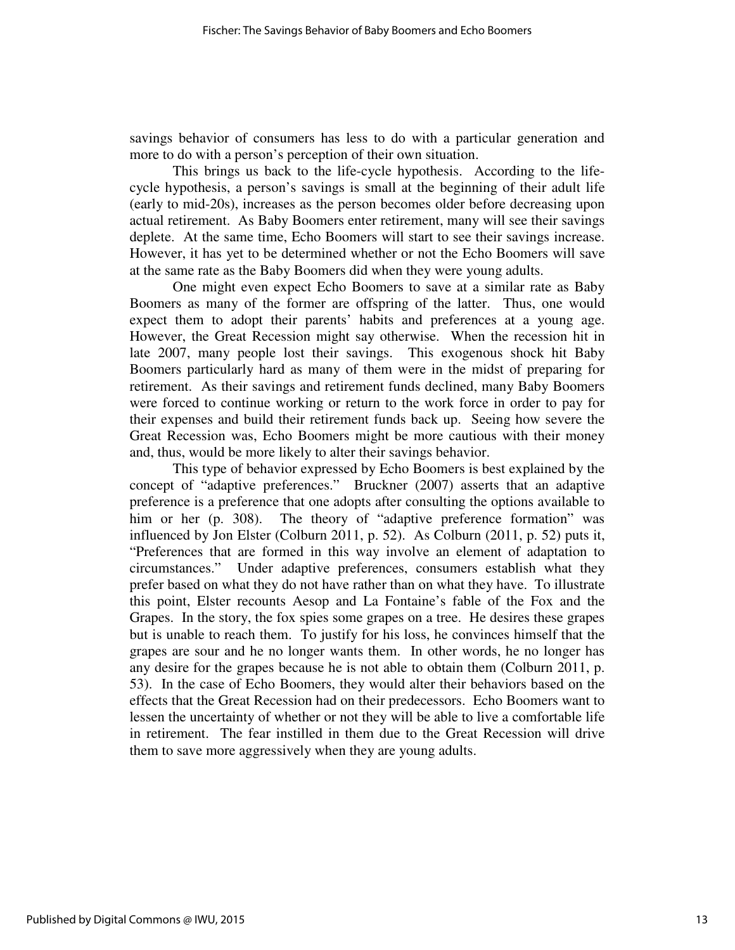savings behavior of consumers has less to do with a particular generation and more to do with a person's perception of their own situation.

 This brings us back to the life-cycle hypothesis. According to the lifecycle hypothesis, a person's savings is small at the beginning of their adult life (early to mid-20s), increases as the person becomes older before decreasing upon actual retirement. As Baby Boomers enter retirement, many will see their savings deplete. At the same time, Echo Boomers will start to see their savings increase. However, it has yet to be determined whether or not the Echo Boomers will save at the same rate as the Baby Boomers did when they were young adults.

 One might even expect Echo Boomers to save at a similar rate as Baby Boomers as many of the former are offspring of the latter. Thus, one would expect them to adopt their parents' habits and preferences at a young age. However, the Great Recession might say otherwise. When the recession hit in late 2007, many people lost their savings. This exogenous shock hit Baby Boomers particularly hard as many of them were in the midst of preparing for retirement. As their savings and retirement funds declined, many Baby Boomers were forced to continue working or return to the work force in order to pay for their expenses and build their retirement funds back up. Seeing how severe the Great Recession was, Echo Boomers might be more cautious with their money and, thus, would be more likely to alter their savings behavior.

 This type of behavior expressed by Echo Boomers is best explained by the concept of "adaptive preferences." Bruckner (2007) asserts that an adaptive preference is a preference that one adopts after consulting the options available to him or her (p. 308). The theory of "adaptive preference formation" was influenced by Jon Elster (Colburn 2011, p. 52). As Colburn (2011, p. 52) puts it, "Preferences that are formed in this way involve an element of adaptation to circumstances." Under adaptive preferences, consumers establish what they prefer based on what they do not have rather than on what they have. To illustrate this point, Elster recounts Aesop and La Fontaine's fable of the Fox and the Grapes. In the story, the fox spies some grapes on a tree. He desires these grapes but is unable to reach them. To justify for his loss, he convinces himself that the grapes are sour and he no longer wants them. In other words, he no longer has any desire for the grapes because he is not able to obtain them (Colburn 2011, p. 53). In the case of Echo Boomers, they would alter their behaviors based on the effects that the Great Recession had on their predecessors. Echo Boomers want to lessen the uncertainty of whether or not they will be able to live a comfortable life in retirement. The fear instilled in them due to the Great Recession will drive them to save more aggressively when they are young adults.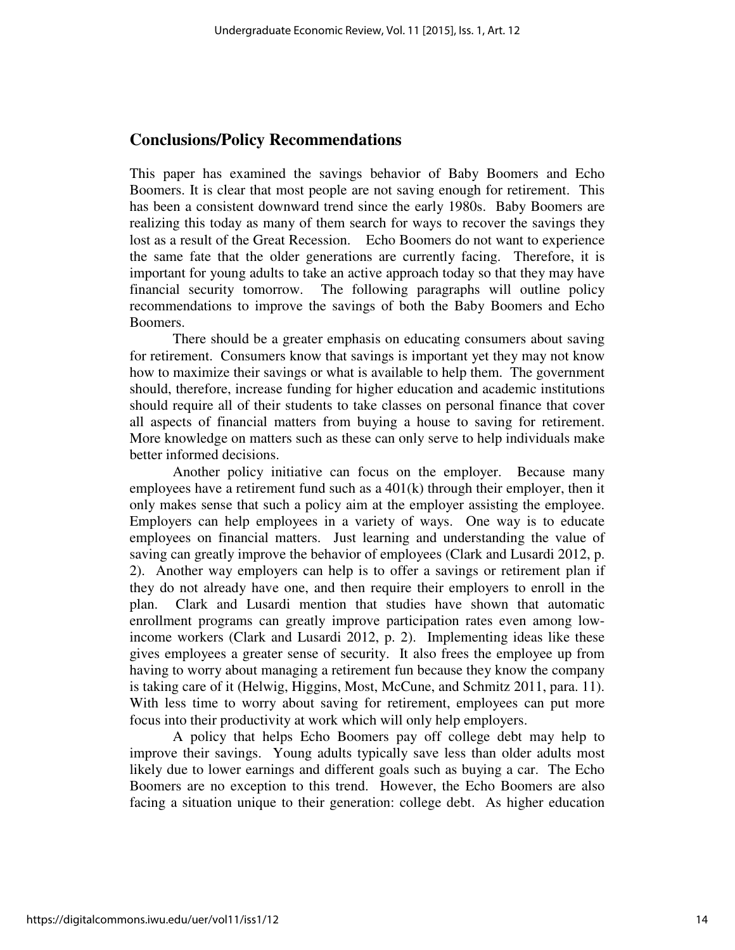## **Conclusions/Policy Recommendations**

This paper has examined the savings behavior of Baby Boomers and Echo Boomers. It is clear that most people are not saving enough for retirement. This has been a consistent downward trend since the early 1980s. Baby Boomers are realizing this today as many of them search for ways to recover the savings they lost as a result of the Great Recession. Echo Boomers do not want to experience the same fate that the older generations are currently facing. Therefore, it is important for young adults to take an active approach today so that they may have financial security tomorrow. The following paragraphs will outline policy recommendations to improve the savings of both the Baby Boomers and Echo Boomers.

 There should be a greater emphasis on educating consumers about saving for retirement. Consumers know that savings is important yet they may not know how to maximize their savings or what is available to help them. The government should, therefore, increase funding for higher education and academic institutions should require all of their students to take classes on personal finance that cover all aspects of financial matters from buying a house to saving for retirement. More knowledge on matters such as these can only serve to help individuals make better informed decisions.

 Another policy initiative can focus on the employer. Because many employees have a retirement fund such as a 401(k) through their employer, then it only makes sense that such a policy aim at the employer assisting the employee. Employers can help employees in a variety of ways. One way is to educate employees on financial matters. Just learning and understanding the value of saving can greatly improve the behavior of employees (Clark and Lusardi 2012, p. 2). Another way employers can help is to offer a savings or retirement plan if they do not already have one, and then require their employers to enroll in the plan. Clark and Lusardi mention that studies have shown that automatic enrollment programs can greatly improve participation rates even among lowincome workers (Clark and Lusardi 2012, p. 2). Implementing ideas like these gives employees a greater sense of security. It also frees the employee up from having to worry about managing a retirement fun because they know the company is taking care of it (Helwig, Higgins, Most, McCune, and Schmitz 2011, para. 11). With less time to worry about saving for retirement, employees can put more focus into their productivity at work which will only help employers.

 A policy that helps Echo Boomers pay off college debt may help to improve their savings. Young adults typically save less than older adults most likely due to lower earnings and different goals such as buying a car. The Echo Boomers are no exception to this trend. However, the Echo Boomers are also facing a situation unique to their generation: college debt. As higher education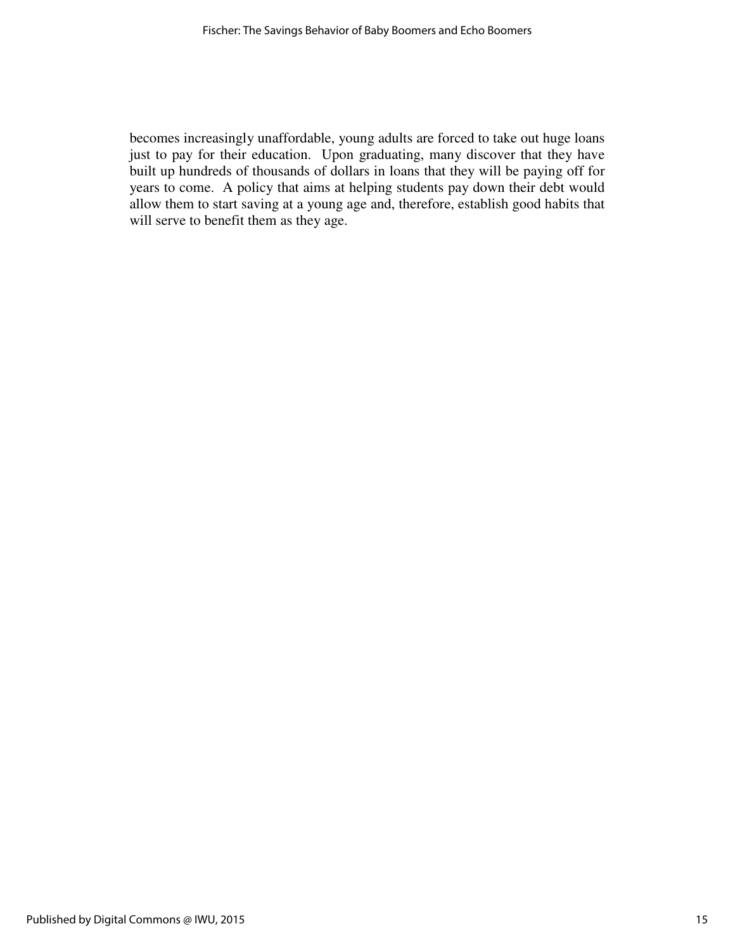becomes increasingly unaffordable, young adults are forced to take out huge loans just to pay for their education. Upon graduating, many discover that they have built up hundreds of thousands of dollars in loans that they will be paying off for years to come. A policy that aims at helping students pay down their debt would allow them to start saving at a young age and, therefore, establish good habits that will serve to benefit them as they age.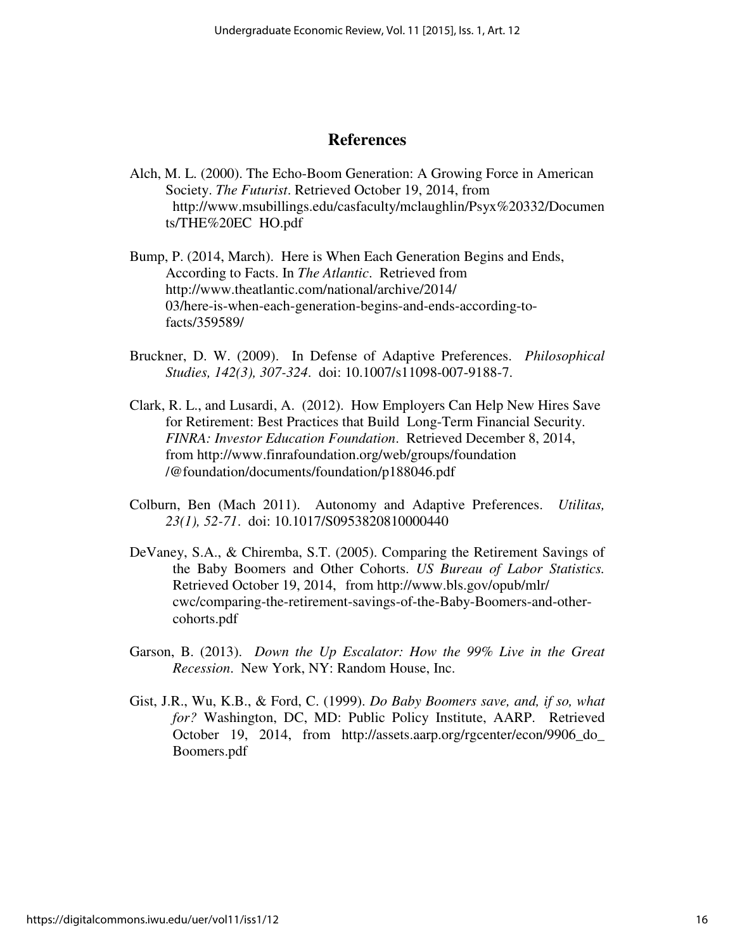## **References**

Alch, M. L. (2000). The Echo-Boom Generation: A Growing Force in American Society. *The Futurist*. Retrieved October 19, 2014, from http://www.msubillings.edu/casfaculty/mclaughlin/Psyx%20332/Documen ts/THE%20EC HO.pdf

Bump, P. (2014, March). Here is When Each Generation Begins and Ends, According to Facts. In *The Atlantic*. Retrieved from http://www.theatlantic.com/national/archive/2014/ 03/here-is-when-each-generation-begins-and-ends-according-tofacts/359589/

- Bruckner, D. W. (2009). In Defense of Adaptive Preferences. *Philosophical Studies, 142(3), 307-324*. doi: 10.1007/s11098-007-9188-7.
- Clark, R. L., and Lusardi, A. (2012). How Employers Can Help New Hires Save for Retirement: Best Practices that Build Long-Term Financial Security. *FINRA: Investor Education Foundation*. Retrieved December 8, 2014, from http://www.finrafoundation.org/web/groups/foundation /@foundation/documents/foundation/p188046.pdf
- Colburn, Ben (Mach 2011). Autonomy and Adaptive Preferences. *Utilitas, 23(1), 52-71*. doi: 10.1017/S0953820810000440
- DeVaney, S.A., & Chiremba, S.T. (2005). Comparing the Retirement Savings of the Baby Boomers and Other Cohorts. *US Bureau of Labor Statistics.* Retrieved October 19, 2014, from http://www.bls.gov/opub/mlr/ cwc/comparing-the-retirement-savings-of-the-Baby-Boomers-and-other cohorts.pdf
- Garson, B. (2013). *Down the Up Escalator: How the 99% Live in the Great Recession*. New York, NY: Random House, Inc.
- Gist, J.R., Wu, K.B., & Ford, C. (1999). *Do Baby Boomers save, and, if so, what for?* Washington, DC, MD: Public Policy Institute, AARP. Retrieved October 19, 2014, from http://assets.aarp.org/rgcenter/econ/9906\_do\_ Boomers.pdf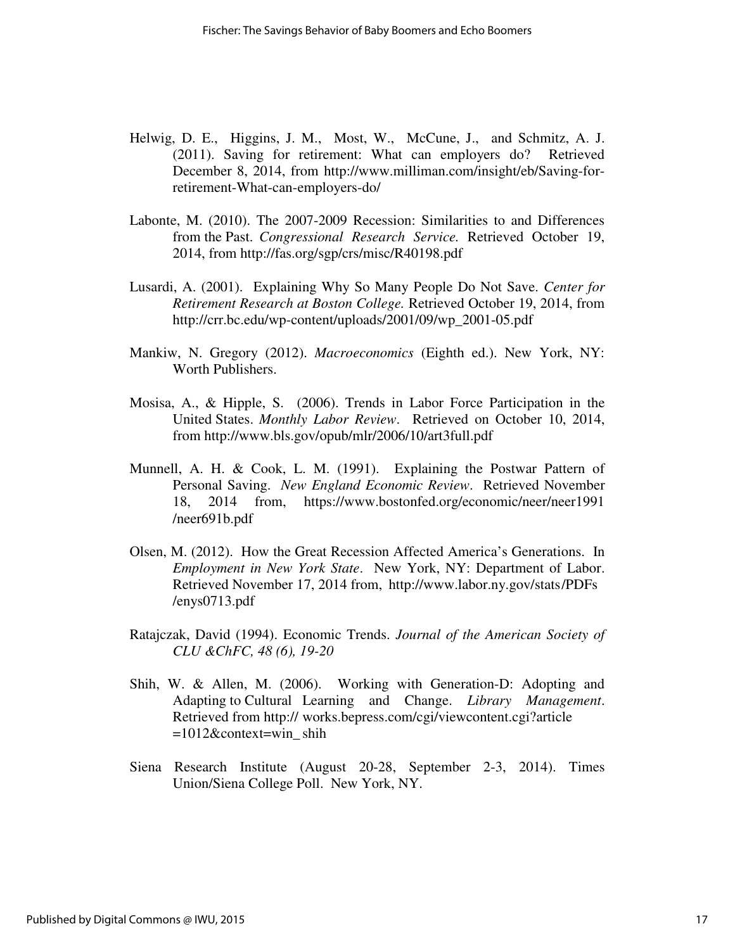- Helwig, D. E., Higgins, J. M., Most, W., McCune, J., and Schmitz, A. J. (2011). Saving for retirement: What can employers do? Retrieved December 8, 2014, from http://www.milliman.com/insight/eb/Saving-for retirement-What-can-employers-do/
- Labonte, M. (2010). The 2007-2009 Recession: Similarities to and Differences from the Past. *Congressional Research Service.* Retrieved October 19, 2014, from http://fas.org/sgp/crs/misc/R40198.pdf
- Lusardi, A. (2001). Explaining Why So Many People Do Not Save. *Center for Retirement Research at Boston College.* Retrieved October 19, 2014, from http://crr.bc.edu/wp-content/uploads/2001/09/wp\_2001-05.pdf
- Mankiw, N. Gregory (2012). *Macroeconomics* (Eighth ed.). New York, NY: Worth Publishers.
- Mosisa, A., & Hipple, S. (2006). Trends in Labor Force Participation in the United States. *Monthly Labor Review*. Retrieved on October 10, 2014, from http://www.bls.gov/opub/mlr/2006/10/art3full.pdf
- Munnell, A. H. & Cook, L. M. (1991). Explaining the Postwar Pattern of Personal Saving. *New England Economic Review*. Retrieved November 18, 2014 from, https://www.bostonfed.org/economic/neer/neer1991 /neer691b.pdf
- Olsen, M. (2012). How the Great Recession Affected America's Generations. In *Employment in New York State*. New York, NY: Department of Labor. Retrieved November 17, 2014 from, http://www.labor.ny.gov/stats /PDFs /enys0713.pdf
- Ratajczak, David (1994). Economic Trends. *Journal of the American Society of CLU &ChFC, 48 (6), 19-20*
- Shih, W. & Allen, M. (2006). Working with Generation-D: Adopting and Adapting to Cultural Learning and Change. *Library Management*. Retrieved from http:// works.bepress.com/cgi/viewcontent.cgi?article  $=1012$ &context=win shih
- Siena Research Institute (August 20-28, September 2-3, 2014). Times Union/Siena College Poll. New York, NY.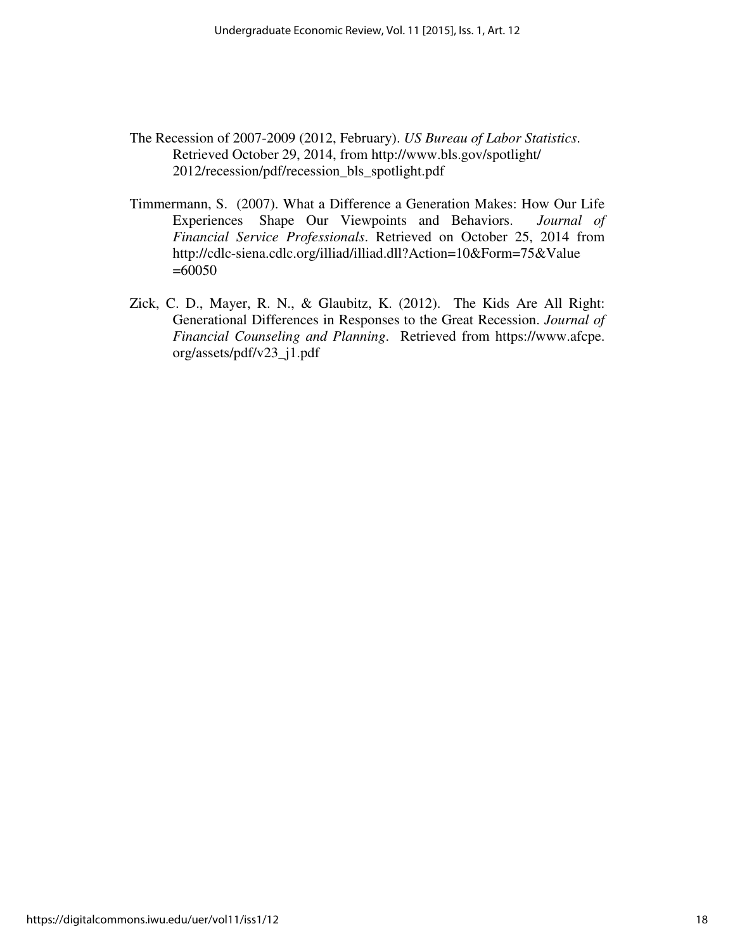- The Recession of 2007-2009 (2012, February). *US Bureau of Labor Statistics*. Retrieved October 29, 2014, from http://www.bls.gov/spotlight/ 2012/recession/pdf/recession\_bls\_spotlight.pdf
- Timmermann, S. (2007). What a Difference a Generation Makes: How Our Life Experiences Shape Our Viewpoints and Behaviors. *Journal of Financial Service Professionals*. Retrieved on October 25, 2014 from http://cdlc-siena.cdlc.org/illiad/illiad.dll?Action=10&Form=75&Value =60050
- Zick, C. D., Mayer, R. N., & Glaubitz, K. (2012). The Kids Are All Right: Generational Differences in Responses to the Great Recession. *Journal of Financial Counseling and Planning*. Retrieved from https://www.afcpe. org/assets/pdf/v23\_j1.pdf